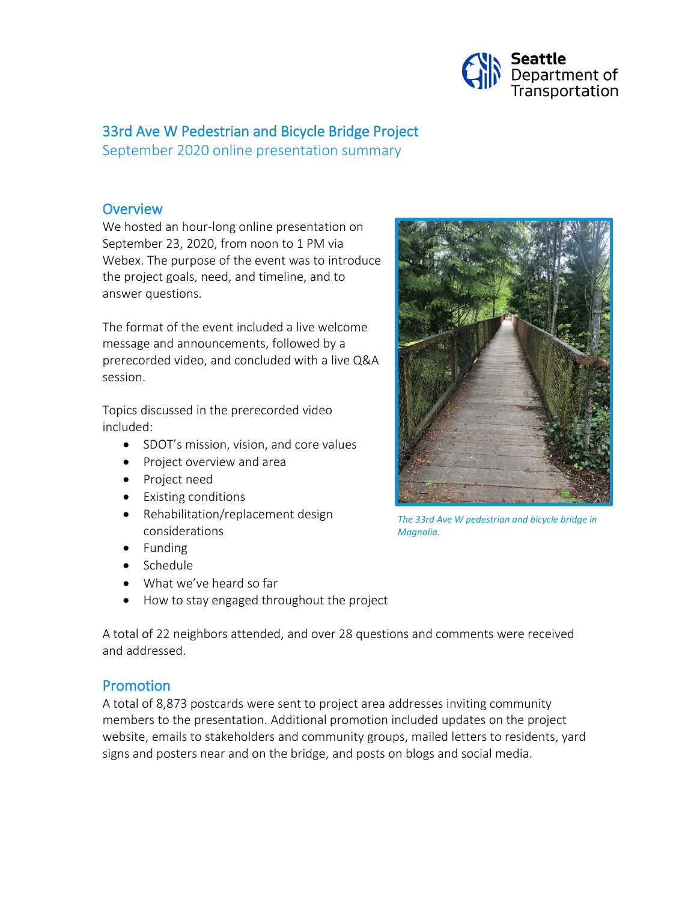

## 33rd Ave W Pedestrian and Bicycle Bridge Project

September 2020 online presentation summary

### **Overview**

We hosted an hour-long online presentation on September 23, 2020, from noon to 1 PM via Webex. The purpose of the event was to introduce the project goals, need, and timeline, and to answer questions.

The format of the event included a live welcome message and announcements, followed by a prerecorded video, and concluded with a live Q&A session.

Topics discussed in the prerecorded video included:

- SDOT's mission, vision, and core values
- Project overview and area
- Project need
- Existing conditions
- Rehabilitation/replacement design considerations
- Funding
- Schedule
- What we've heard so far
- How to stay engaged throughout the project

A total of 22 neighbors attended, and over 28 questions and comments were received and addressed.

### Promotion

A total of 8,873 postcards were sent to project area addresses inviting community members to the presentation. Additional promotion included updates on the project website, emails to stakeholders and community groups, mailed letters to residents, yard signs and posters near and on the bridge, and posts on blogs and social media.



*The 33rd Ave W pedestrian and bicycle bridge in Magnolia.*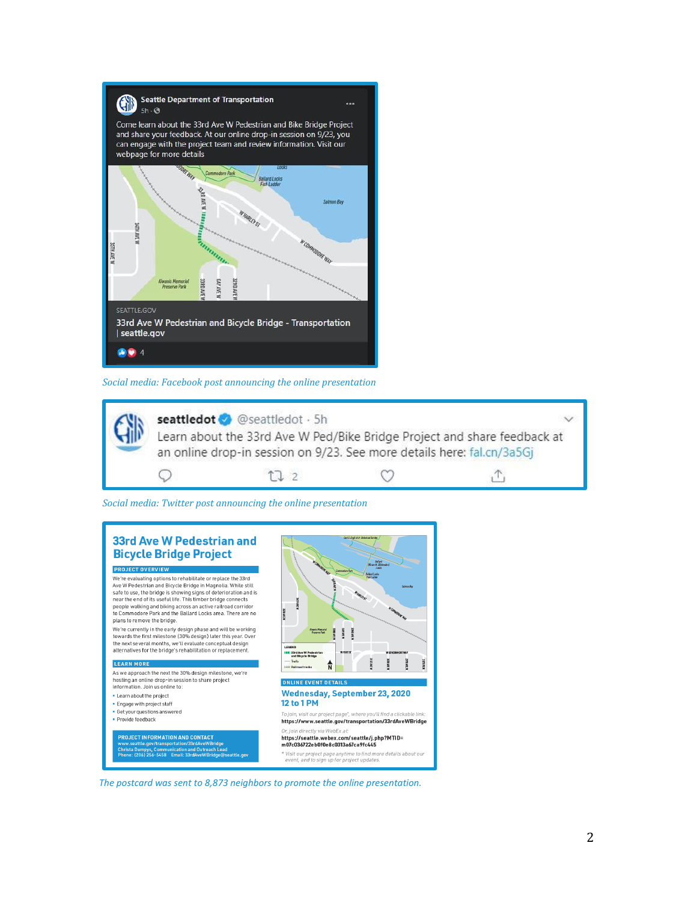

*Social media: Facebook post announcing the online presentation*



*Social media: Twitter post announcing the online presentation*



*The postcard was sent to 8,873 neighbors to promote the online presentation.*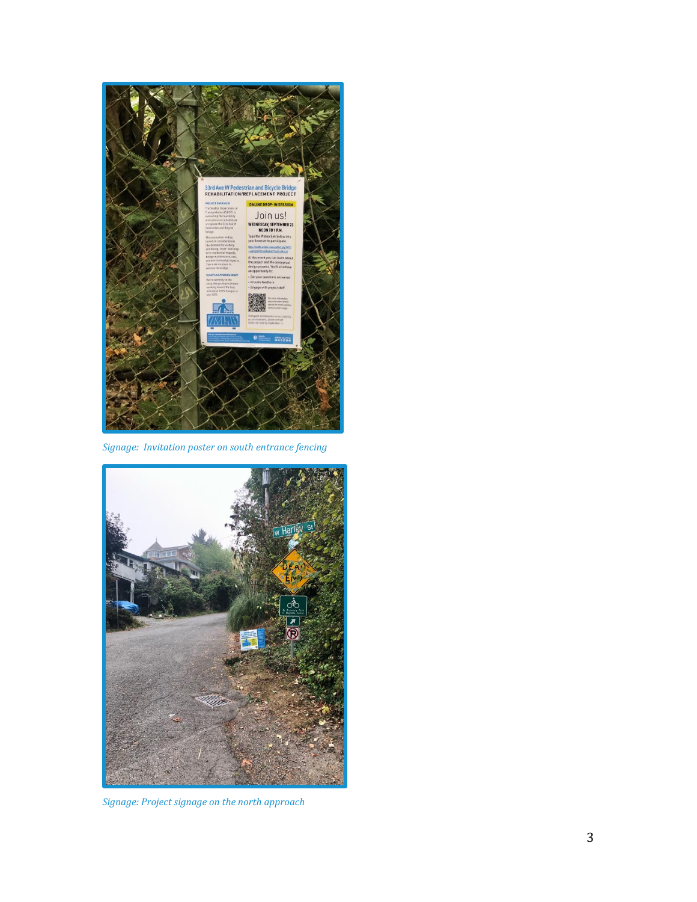

*Signage: Invitation poster on south entrance fencing*



*Signage: Project signage on the north approach*